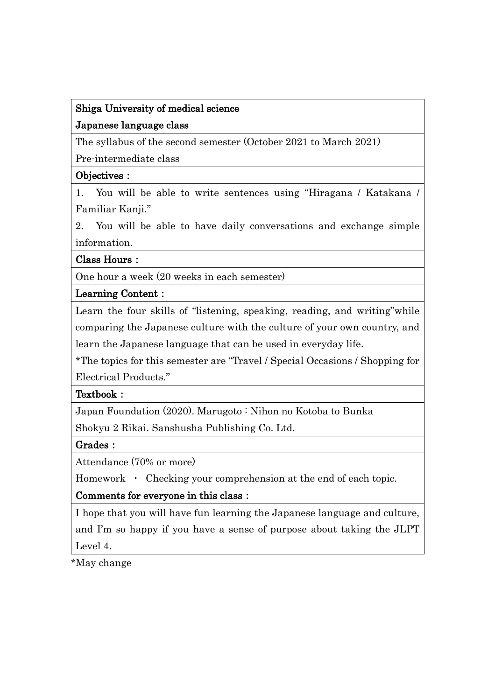# Shiga University of medical science Japanese language class

The syllabus of the second semester (October 2021 to March 2021)

Pre-intermediate class

## Objectives:

1. You will be able to write sentences using "Hiragana / Katakana / Familiar Kanji."

2. You will be able to have daily conversations and exchange simple information.

#### Class Hours:

One hour a week (20 weeks in each semester)

#### Learning Content:

Learn the four skills of "listening, speaking, reading, and writing"while comparing the Japanese culture with the culture of your own country, and learn the Japanese language that can be used in everyday life.

\*The topics for this semester are "Travel / Special Occasions / Shopping for Electrical Products."

## Textbook:

Japan Foundation (2020). Marugoto : Nihon no Kotoba to Bunka

Shokyu 2 Rikai. Sanshusha Publishing Co. Ltd.

## Grades:

Attendance (70% or more)

Homework • Checking your comprehension at the end of each topic.

# Comments for everyone in this class:

I hope that you will have fun learning the Japanese language and culture, and I'm so happy if you have a sense of purpose about taking the JLPT Level 4.

\*May change